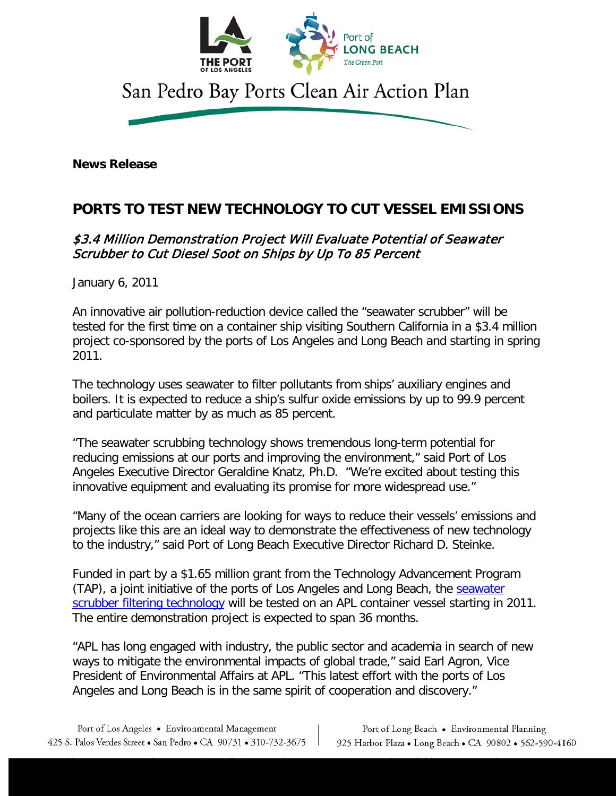

**News Release**

## **PORTS TO TEST NEW TECHNOLOGY TO CUT VESSEL EMISSIONS**

## \$3.4 Million Demonstration Project Will Evaluate Potential of Seawater Scrubber to Cut Diesel Soot on Ships by Up To 85 Percent

January 6, 2011

An innovative air pollution-reduction device called the "seawater scrubber" will be tested for the first time on a container ship visiting Southern California in a \$3.4 million project co-sponsored by the ports of Los Angeles and Long Beach and starting in spring 2011.

The technology uses seawater to filter pollutants from ships' auxiliary engines and boilers. It is expected to reduce a ship's sulfur oxide emissions by up to 99.9 percent and particulate matter by as much as 85 percent.

"The seawater scrubbing technology shows tremendous long-term potential for reducing emissions at our ports and improving the environment," said Port of Los Angeles Executive Director Geraldine Knatz, Ph.D. "We're excited about testing this innovative equipment and evaluating its promise for more widespread use."

"Many of the ocean carriers are looking for ways to reduce their vessels' emissions and projects like this are an ideal way to demonstrate the effectiveness of new technology to the industry," said Port of Long Beach Executive Director Richard D. Steinke.

Funded in part by a \$1.65 million grant from the Technology Advancement Program (TAP), a joint initiative of the ports of Los Angeles and Long Beach, the seawater [scrubber filtering technology](http://www.portoflosangeles.org/pdf/apl_scrubber.pdf) will be tested on an APL container vessel starting in 2011. The entire demonstration project is expected to span 36 months.

"APL has long engaged with industry, the public sector and academia in search of new ways to mitigate the environmental impacts of global trade," said Earl Agron, Vice President of Environmental Affairs at APL. "This latest effort with the ports of Los Angeles and Long Beach is in the same spirit of cooperation and discovery."